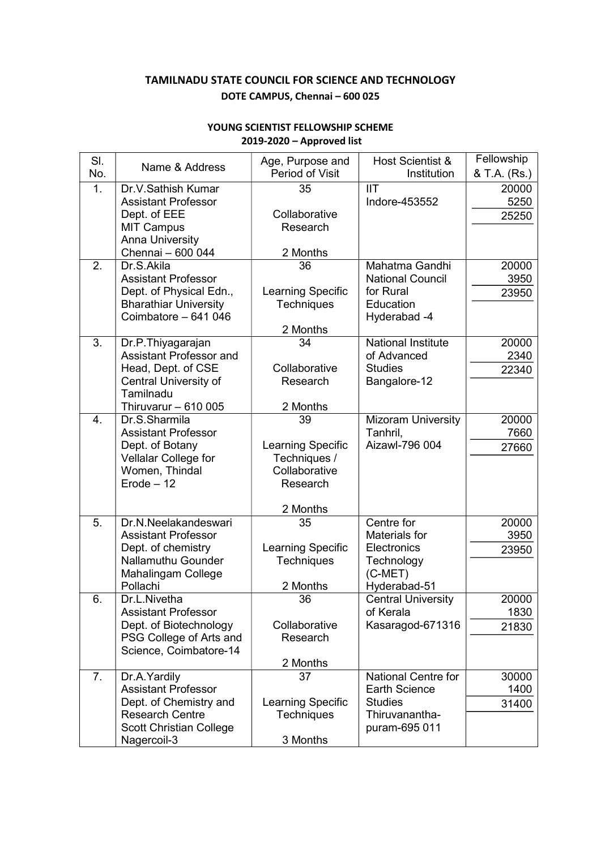## TAMILNADU STATE COUNCIL FOR SCIENCE AND TECHNOLOGY DOTE CAMPUS, Chennai – 600 025

| SI.              |                                                     | Age, Purpose and                       | Host Scientist &                         | Fellowship    |
|------------------|-----------------------------------------------------|----------------------------------------|------------------------------------------|---------------|
| No.              | Name & Address                                      | Period of Visit                        | Institution                              | & T.A. (Rs.)  |
| 1.               | Dr.V.Sathish Kumar                                  | 35                                     | <b>IIT</b>                               | 20000         |
|                  | <b>Assistant Professor</b>                          |                                        | Indore-453552                            | 5250          |
|                  | Dept. of EEE                                        | Collaborative                          |                                          | 25250         |
|                  | <b>MIT Campus</b>                                   | Research                               |                                          |               |
|                  | <b>Anna University</b><br>Chennai - 600 044         | 2 Months                               |                                          |               |
| 2.               | Dr.S.Akila                                          | 36                                     | Mahatma Gandhi                           | 20000         |
|                  | <b>Assistant Professor</b>                          |                                        | <b>National Council</b>                  | 3950          |
|                  | Dept. of Physical Edn.,                             | Learning Specific                      | for Rural                                | 23950         |
|                  | <b>Bharathiar University</b>                        | <b>Techniques</b>                      | Education                                |               |
|                  | Coimbatore - 641 046                                |                                        | Hyderabad -4                             |               |
|                  |                                                     | 2 Months                               |                                          |               |
| 3.               | Dr.P.Thiyagarajan<br><b>Assistant Professor and</b> | 34                                     | <b>National Institute</b><br>of Advanced | 20000         |
|                  | Head, Dept. of CSE                                  | Collaborative                          | <b>Studies</b>                           | 2340<br>22340 |
|                  | Central University of                               | Research                               | Bangalore-12                             |               |
|                  | Tamilnadu                                           |                                        |                                          |               |
|                  | Thiruvarur $-610005$                                | 2 Months                               |                                          |               |
| $\overline{4}$ . | Dr.S.Sharmila                                       | 39                                     | <b>Mizoram University</b>                | 20000         |
|                  | <b>Assistant Professor</b>                          |                                        | Tanhril,                                 | 7660          |
|                  | Dept. of Botany                                     | Learning Specific                      | Aizawl-796 004                           | 27660         |
|                  | Vellalar College for<br>Women, Thindal              | Techniques /<br>Collaborative          |                                          |               |
|                  | $Erode - 12$                                        | Research                               |                                          |               |
|                  |                                                     |                                        |                                          |               |
|                  |                                                     | 2 Months                               |                                          |               |
| 5.               | Dr.N.Neelakandeswari                                | 35                                     | Centre for                               | 20000         |
|                  | <b>Assistant Professor</b>                          |                                        | Materials for                            | 3950          |
|                  | Dept. of chemistry<br><b>Nallamuthu Gounder</b>     | Learning Specific<br><b>Techniques</b> | Electronics<br>Technology                | 23950         |
|                  | Mahalingam College                                  |                                        | $(C-MET)$                                |               |
|                  | Pollachi                                            | 2 Months                               | Hyderabad-51                             |               |
| 6.               | Dr.L.Nivetha                                        | 36                                     | <b>Central University</b>                | 20000         |
|                  | <b>Assistant Professor</b>                          |                                        | of Kerala                                | 1830          |
|                  | Dept. of Biotechnology                              | Collaborative                          | Kasaragod-671316                         | 21830         |
|                  | PSG College of Arts and                             | Research                               |                                          |               |
|                  | Science, Coimbatore-14                              | 2 Months                               |                                          |               |
| 7.               | Dr.A. Yardily                                       | 37                                     | <b>National Centre for</b>               | 30000         |
|                  | <b>Assistant Professor</b>                          |                                        | <b>Earth Science</b>                     | 1400          |
|                  | Dept. of Chemistry and                              | Learning Specific                      | <b>Studies</b>                           | 31400         |
|                  | <b>Research Centre</b>                              | <b>Techniques</b>                      | Thiruvanantha-                           |               |
|                  | <b>Scott Christian College</b>                      |                                        | puram-695 011                            |               |
|                  | Nagercoil-3                                         | 3 Months                               |                                          |               |

## YOUNG SCIENTIST FELLOWSHIP SCHEME 2019-2020 – Approved list